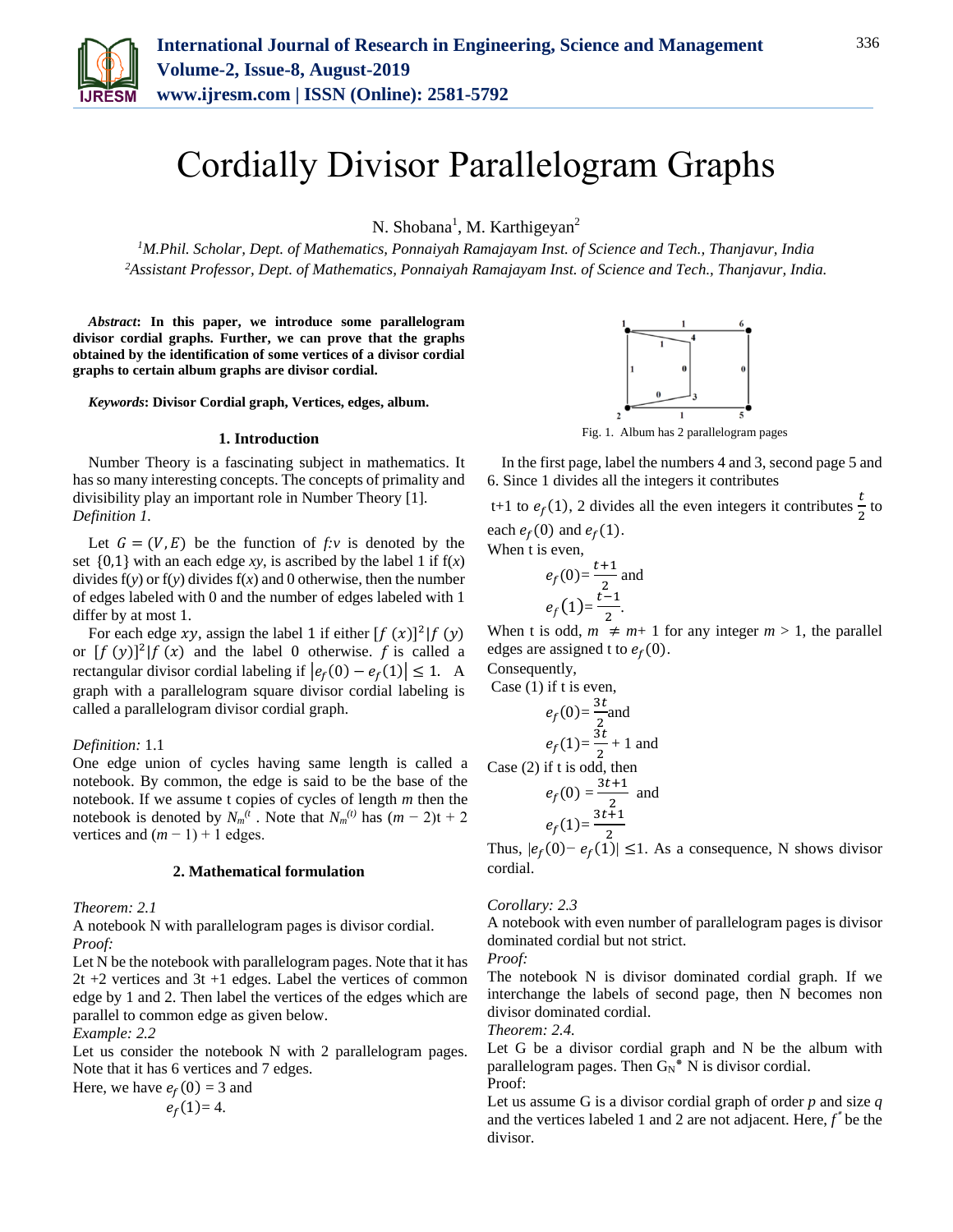

# Cordially Divisor Parallelogram Graphs

N. Shobana<sup>1</sup>, M. Karthigeyan<sup>2</sup>

*<sup>1</sup>M.Phil. Scholar, Dept. of Mathematics, Ponnaiyah Ramajayam Inst. of Science and Tech., Thanjavur, India 2Assistant Professor, Dept. of Mathematics, Ponnaiyah Ramajayam Inst. of Science and Tech., Thanjavur, India.*

*Abstract***: In this paper, we introduce some parallelogram divisor cordial graphs. Further, we can prove that the graphs obtained by the identification of some vertices of a divisor cordial graphs to certain album graphs are divisor cordial.**

*Keywords***: Divisor Cordial graph, Vertices, edges, album.**

#### **1. Introduction**

Number Theory is a fascinating subject in mathematics. It has so many interesting concepts. The concepts of primality and divisibility play an important role in Number Theory [1]. *Definition 1.*

Let  $G = (V, E)$  be the function of  $f: v$  is denoted by the set  $\{0,1\}$  with an each edge *xy*, is ascribed by the label 1 if  $f(x)$ divides  $f(y)$  or  $f(y)$  divides  $f(x)$  and 0 otherwise, then the number of edges labeled with 0 and the number of edges labeled with 1 differ by at most 1.

For each edge xy, assign the label 1 if either  $[f(x)]^2 | f(y)$ or  $[f (y)]^2 | f (x)$  and the label 0 otherwise. f is called a rectangular divisor cordial labeling if  $|e_f(0) - e_f(1)| \le 1$ . A graph with a parallelogram square divisor cordial labeling is called a parallelogram divisor cordial graph.

#### *Definition:* 1.1

One edge union of cycles having same length is called a notebook. By common, the edge is said to be the base of the notebook. If we assume t copies of cycles of length *m* then the notebook is denoted by  $N_m(t)$ . Note that  $N_m(t)$  has  $(m-2)t + 2$ vertices and  $(m - 1) + 1$  edges.

## **2. Mathematical formulation**

*Theorem: 2.1*

A notebook N with parallelogram pages is divisor cordial. *Proof:*

Let N be the notebook with parallelogram pages. Note that it has 2t +2 vertices and 3t +1 edges. Label the vertices of common edge by 1 and 2. Then label the vertices of the edges which are parallel to common edge as given below.

*Example: 2.2*

Let us consider the notebook N with 2 parallelogram pages. Note that it has 6 vertices and 7 edges.

Here, we have  $e_f(0) = 3$  and  $e_f(1)=4.$ 



In the first page, label the numbers 4 and 3, second page 5 and 6. Since 1 divides all the integers it contributes

t+1 to  $e_f(1)$ , 2 divides all the even integers it contributes  $\frac{t}{2}$  $\frac{c}{2}$  to each  $e_f(0)$  and  $e_f(1)$ .

When t is even.

$$
e_f(0) = \frac{t+1}{2}
$$
 and  
 $e_f(1) = \frac{t-1}{2}$ .

When t is odd,  $m \neq m+1$  for any integer  $m > 1$ , the parallel edges are assigned t to  $e_f(0)$ .

Consequently,

Case (1) if t is even,  
\n
$$
e_f(0) = \frac{3t}{2}
$$
 and  
\n $e_f(1) = \frac{3t}{2} + 1$  and  
\nCase (2) if t is odd, then  
\n $e_f(0) = \frac{3t+1}{2}$  and

$$
e_f(1) = \frac{3t+1}{2}
$$

Thus,  $|e_f(0) - e_f(1)| \leq 1$ . As a consequence, N shows divisor cordial.

#### *Corollary: 2.3*

A notebook with even number of parallelogram pages is divisor dominated cordial but not strict.

*Proof:*

The notebook N is divisor dominated cordial graph. If we interchange the labels of second page, then N becomes non divisor dominated cordial.

*Theorem: 2.4.* 

Let G be a divisor cordial graph and N be the album with parallelogram pages. Then  $G_N^*$  N is divisor cordial. Proof:

Let us assume G is a divisor cordial graph of order *p* and size *q* and the vertices labeled 1 and 2 are not adjacent. Here,  $f^*$  be the divisor.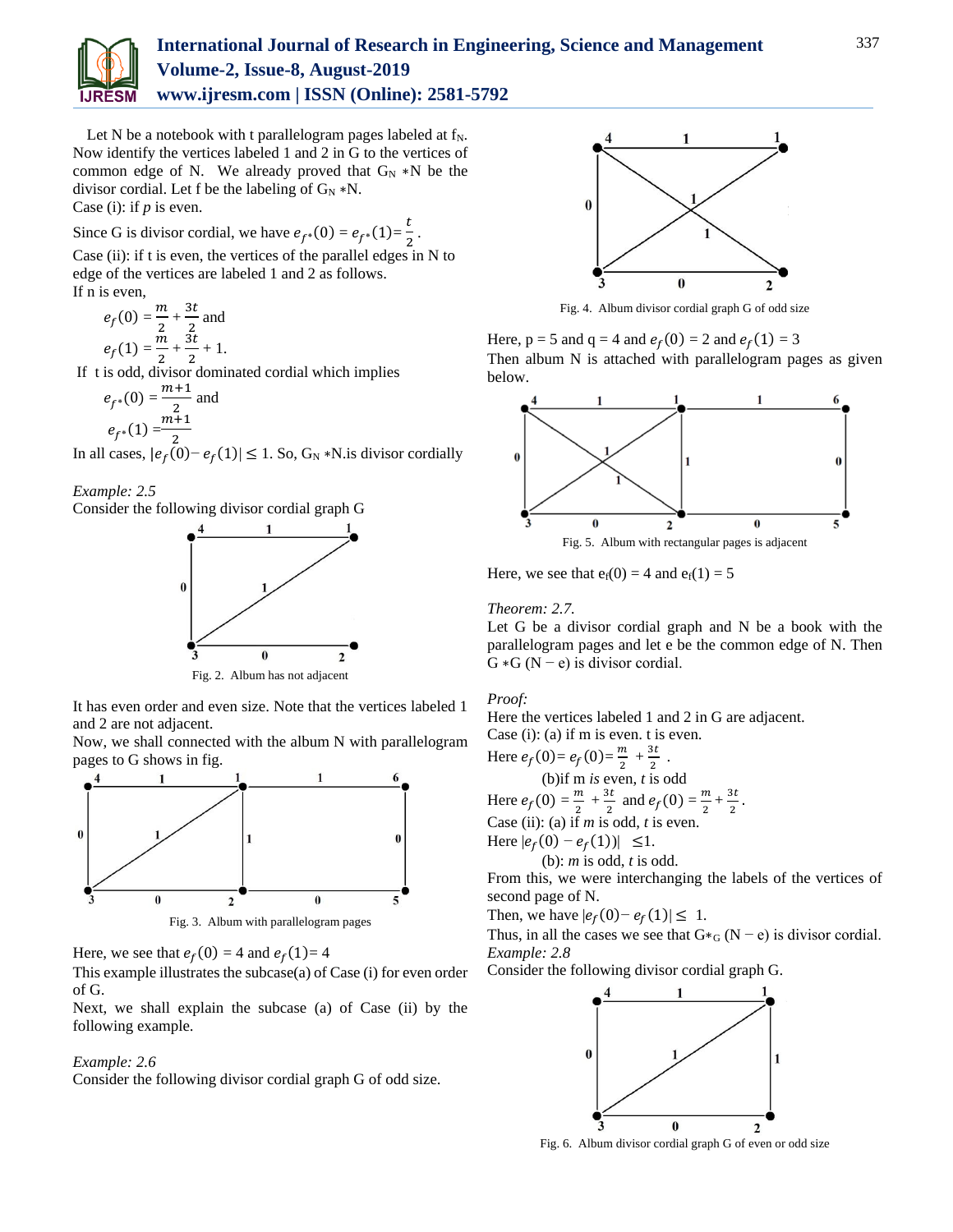

Let N be a notebook with t parallelogram pages labeled at  $f_N$ . Now identify the vertices labeled 1 and 2 in G to the vertices of common edge of N. We already proved that  $G_N * N$  be the divisor cordial. Let f be the labeling of  $G_N * N$ .

Case (i): if *p* is even.

Since G is divisor cordial, we have  $e_{f^*}(0) = e_{f^*}(1) = \frac{t}{2}$  $\frac{2}{2}$ .

Case (ii): if t is even, the vertices of the parallel edges in N to edge of the vertices are labeled 1 and 2 as follows. If n is even,

 $e_f(0) = \frac{m}{2}$  $\frac{m}{2} + \frac{3t}{2}$  $\frac{2}{2}$  and  $e_f(1) = \frac{m}{2}$  $\frac{m}{2} + \frac{3t}{2}$  $\frac{2}{2} + 1$ .

If t is odd, divisor dominated cordial which implies

$$
e_{f^*}(0) = \frac{m+1}{2}
$$
 and  
 $e_{f^*}(1) = \frac{m+1}{2}$ 

In all cases,  $|e_f(0) - e_f(1)| \le 1$ . So,  $G_N * N$  is divisor cordially

*Example: 2.5*

Consider the following divisor cordial graph G



It has even order and even size. Note that the vertices labeled 1 and 2 are not adjacent.

Now, we shall connected with the album N with parallelogram pages to G shows in fig.



Fig. 3. Album with parallelogram pages

Here, we see that  $e_f(0) = 4$  and  $e_f(1) = 4$ 

This example illustrates the subcase(a) of Case (i) for even order of G.

Next, we shall explain the subcase (a) of Case (ii) by the following example.

# *Example: 2.6*

Consider the following divisor cordial graph G of odd size.



Fig. 4. Album divisor cordial graph G of odd size

Here,  $p = 5$  and  $q = 4$  and  $e_f(0) = 2$  and  $e_f(1) = 3$ Then album N is attached with parallelogram pages as given below.



Here, we see that  $e_f(0) = 4$  and  $e_f(1) = 5$ 

# *Theorem: 2.7.*

Let G be a divisor cordial graph and N be a book with the parallelogram pages and let e be the common edge of N. Then  $G * G (N - e)$  is divisor cordial.

# *Proof:*

Here the vertices labeled 1 and 2 in G are adjacent. Case (i): (a) if m is even. t is even.

Here 
$$
e_f(0) = e_f(0) = \frac{m}{2} + \frac{3t}{2}
$$
.  
\n(b) if m is even, t is odd  
\nHere  $e_f(0) = \frac{m}{2} + \frac{3t}{2}$  and  $e_f(0) = \frac{m}{2} + \frac{3t}{2}$ .  
\nCase (ii): (a) if m is odd, t is even.  
\nHere  $|e_f(0) - e_f(1)| \le 1$ .  
\n(b): m is odd, t is odd.

From this, we were interchanging the labels of the vertices of second page of N.

Then, we have  $|e_f(0) - e_f(1)| \leq 1$ .

Thus, in all the cases we see that  $G \ast_G (N - e)$  is divisor cordial. *Example: 2.8*

Consider the following divisor cordial graph G.



Fig. 6. Album divisor cordial graph G of even or odd size